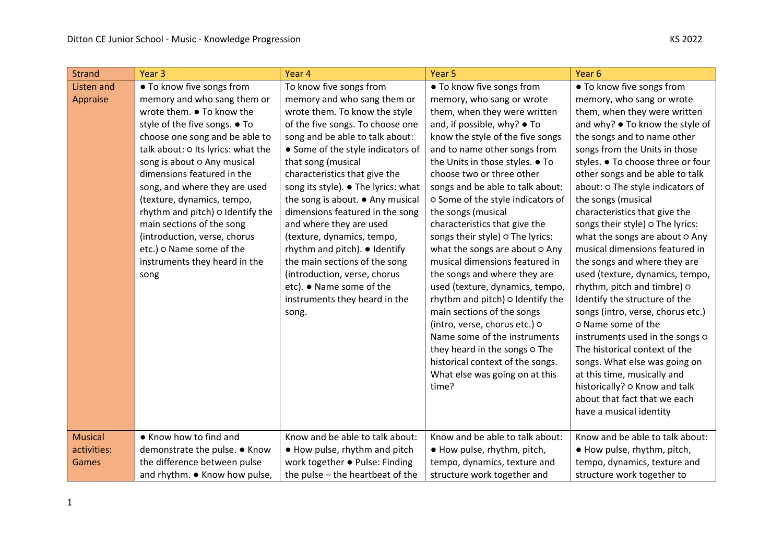| <b>Strand</b>  | Year <sub>3</sub>                  | Year 4                              | Year <sub>5</sub>                 | Year <sub>6</sub>                 |
|----------------|------------------------------------|-------------------------------------|-----------------------------------|-----------------------------------|
| Listen and     | • To know five songs from          | To know five songs from             | . To know five songs from         | • To know five songs from         |
| Appraise       | memory and who sang them or        | memory and who sang them or         | memory, who sang or wrote         | memory, who sang or wrote         |
|                | wrote them. • To know the          | wrote them. To know the style       | them, when they were written      | them, when they were written      |
|                | style of the five songs. • To      | of the five songs. To choose one    | and, if possible, why? ● To       | and why? • To know the style of   |
|                | choose one song and be able to     | song and be able to talk about:     | know the style of the five songs  | the songs and to name other       |
|                | talk about: O Its lyrics: what the | • Some of the style indicators of   | and to name other songs from      | songs from the Units in those     |
|                | song is about O Any musical        | that song (musical                  | the Units in those styles. • To   | styles. • To choose three or four |
|                | dimensions featured in the         | characteristics that give the       | choose two or three other         | other songs and be able to talk   |
|                | song, and where they are used      | song its style). • The lyrics: what | songs and be able to talk about:  | about: O The style indicators of  |
|                | (texture, dynamics, tempo,         | the song is about. • Any musical    | o Some of the style indicators of | the songs (musical                |
|                | rhythm and pitch) o Identify the   | dimensions featured in the song     | the songs (musical                | characteristics that give the     |
|                | main sections of the song          | and where they are used             | characteristics that give the     | songs their style) o The lyrics:  |
|                | (introduction, verse, chorus       | (texture, dynamics, tempo,          | songs their style) o The lyrics:  | what the songs are about o Any    |
|                | etc.) o Name some of the           | rhythm and pitch). ● Identify       | what the songs are about o Any    | musical dimensions featured in    |
|                | instruments they heard in the      | the main sections of the song       | musical dimensions featured in    | the songs and where they are      |
|                | song                               | (introduction, verse, chorus        | the songs and where they are      | used (texture, dynamics, tempo,   |
|                |                                    | etc). • Name some of the            | used (texture, dynamics, tempo,   | rhythm, pitch and timbre) o       |
|                |                                    | instruments they heard in the       | rhythm and pitch) o Identify the  | Identify the structure of the     |
|                |                                    | song.                               | main sections of the songs        | songs (intro, verse, chorus etc.) |
|                |                                    |                                     | (intro, verse, chorus etc.) o     | o Name some of the                |
|                |                                    |                                     | Name some of the instruments      | instruments used in the songs O   |
|                |                                    |                                     | they heard in the songs o The     | The historical context of the     |
|                |                                    |                                     | historical context of the songs.  | songs. What else was going on     |
|                |                                    |                                     | What else was going on at this    | at this time, musically and       |
|                |                                    |                                     | time?                             | historically? o Know and talk     |
|                |                                    |                                     |                                   | about that fact that we each      |
|                |                                    |                                     |                                   | have a musical identity           |
|                |                                    |                                     |                                   |                                   |
| <b>Musical</b> | • Know how to find and             | Know and be able to talk about:     | Know and be able to talk about:   | Know and be able to talk about:   |
| activities:    | demonstrate the pulse. ● Know      | • How pulse, rhythm and pitch       | • How pulse, rhythm, pitch,       | • How pulse, rhythm, pitch,       |
| Games          | the difference between pulse       | work together . Pulse: Finding      | tempo, dynamics, texture and      | tempo, dynamics, texture and      |
|                | and rhythm. • Know how pulse,      | the pulse – the heartbeat of the    | structure work together and       | structure work together to        |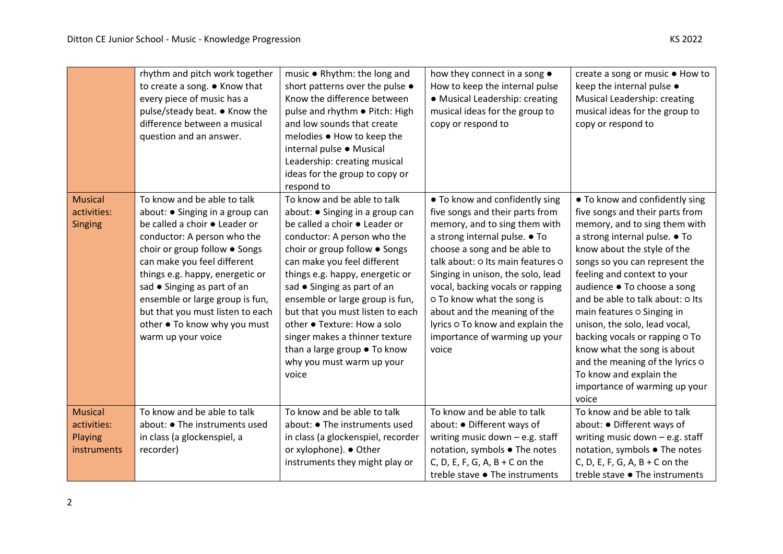|                                                         | rhythm and pitch work together<br>to create a song. ● Know that<br>every piece of music has a<br>pulse/steady beat. ● Know the<br>difference between a musical<br>question and an answer.                                                                                                                                                                                                     | music . Rhythm: the long and<br>short patterns over the pulse .<br>Know the difference between<br>pulse and rhythm . Pitch: High<br>and low sounds that create<br>melodies ● How to keep the<br>internal pulse · Musical<br>Leadership: creating musical<br>ideas for the group to copy or<br>respond to                                                                                                                                                                       | how they connect in a song $\bullet$<br>How to keep the internal pulse<br>• Musical Leadership: creating<br>musical ideas for the group to<br>copy or respond to                                                                                                                                                                                                                                                              | create a song or music ● How to<br>keep the internal pulse •<br>Musical Leadership: creating<br>musical ideas for the group to<br>copy or respond to                                                                                                                                                                                                                                                                                                                                                                                           |
|---------------------------------------------------------|-----------------------------------------------------------------------------------------------------------------------------------------------------------------------------------------------------------------------------------------------------------------------------------------------------------------------------------------------------------------------------------------------|--------------------------------------------------------------------------------------------------------------------------------------------------------------------------------------------------------------------------------------------------------------------------------------------------------------------------------------------------------------------------------------------------------------------------------------------------------------------------------|-------------------------------------------------------------------------------------------------------------------------------------------------------------------------------------------------------------------------------------------------------------------------------------------------------------------------------------------------------------------------------------------------------------------------------|------------------------------------------------------------------------------------------------------------------------------------------------------------------------------------------------------------------------------------------------------------------------------------------------------------------------------------------------------------------------------------------------------------------------------------------------------------------------------------------------------------------------------------------------|
| <b>Musical</b><br>activities:<br><b>Singing</b>         | To know and be able to talk<br>about: • Singing in a group can<br>be called a choir . Leader or<br>conductor: A person who the<br>choir or group follow . Songs<br>can make you feel different<br>things e.g. happy, energetic or<br>sad • Singing as part of an<br>ensemble or large group is fun,<br>but that you must listen to each<br>other . To know why you must<br>warm up your voice | To know and be able to talk<br>about: ● Singing in a group can<br>be called a choir . Leader or<br>conductor: A person who the<br>choir or group follow . Songs<br>can make you feel different<br>things e.g. happy, energetic or<br>sad • Singing as part of an<br>ensemble or large group is fun,<br>but that you must listen to each<br>other • Texture: How a solo<br>singer makes a thinner texture<br>than a large group . To know<br>why you must warm up your<br>voice | • To know and confidently sing<br>five songs and their parts from<br>memory, and to sing them with<br>a strong internal pulse. • To<br>choose a song and be able to<br>talk about: O Its main features O<br>Singing in unison, the solo, lead<br>vocal, backing vocals or rapping<br>o To know what the song is<br>about and the meaning of the<br>lyrics o To know and explain the<br>importance of warming up your<br>voice | • To know and confidently sing<br>five songs and their parts from<br>memory, and to sing them with<br>a strong internal pulse. • To<br>know about the style of the<br>songs so you can represent the<br>feeling and context to your<br>audience ● To choose a song<br>and be able to talk about: O Its<br>main features o Singing in<br>unison, the solo, lead vocal,<br>backing vocals or rapping o To<br>know what the song is about<br>and the meaning of the lyrics o<br>To know and explain the<br>importance of warming up your<br>voice |
| <b>Musical</b><br>activities:<br>Playing<br>instruments | To know and be able to talk<br>about: ● The instruments used<br>in class (a glockenspiel, a<br>recorder)                                                                                                                                                                                                                                                                                      | To know and be able to talk<br>about: ● The instruments used<br>in class (a glockenspiel, recorder<br>or xylophone). ● Other<br>instruments they might play or                                                                                                                                                                                                                                                                                                                 | To know and be able to talk<br>about: ● Different ways of<br>writing music down - e.g. staff<br>notation, symbols . The notes<br>C, D, E, F, G, A, $B + C$ on the<br>treble stave ● The instruments                                                                                                                                                                                                                           | To know and be able to talk<br>about: ● Different ways of<br>writing music down - e.g. staff<br>notation, symbols . The notes<br>C, D, E, F, G, A, B + C on the<br>treble stave ● The instruments                                                                                                                                                                                                                                                                                                                                              |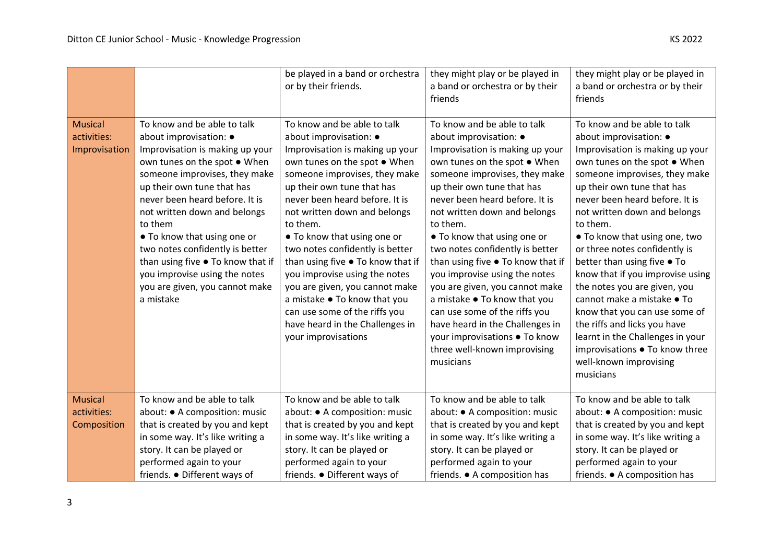|                                                |                                                                                                                                                                                                                                                                                                                                                                                                                                                                     | be played in a band or orchestra<br>or by their friends.                                                                                                                                                                                                                                                                                                                                                                                                                                                                                                                           | they might play or be played in<br>a band or orchestra or by their<br>friends                                                                                                                                                                                                                                                                                                                                                                                                                                                                                                                                                             | they might play or be played in<br>a band or orchestra or by their<br>friends                                                                                                                                                                                                                                                                                                                                                                                                                                                                                                                                                                                  |
|------------------------------------------------|---------------------------------------------------------------------------------------------------------------------------------------------------------------------------------------------------------------------------------------------------------------------------------------------------------------------------------------------------------------------------------------------------------------------------------------------------------------------|------------------------------------------------------------------------------------------------------------------------------------------------------------------------------------------------------------------------------------------------------------------------------------------------------------------------------------------------------------------------------------------------------------------------------------------------------------------------------------------------------------------------------------------------------------------------------------|-------------------------------------------------------------------------------------------------------------------------------------------------------------------------------------------------------------------------------------------------------------------------------------------------------------------------------------------------------------------------------------------------------------------------------------------------------------------------------------------------------------------------------------------------------------------------------------------------------------------------------------------|----------------------------------------------------------------------------------------------------------------------------------------------------------------------------------------------------------------------------------------------------------------------------------------------------------------------------------------------------------------------------------------------------------------------------------------------------------------------------------------------------------------------------------------------------------------------------------------------------------------------------------------------------------------|
| <b>Musical</b><br>activities:<br>Improvisation | To know and be able to talk<br>about improvisation: $\bullet$<br>Improvisation is making up your<br>own tunes on the spot . When<br>someone improvises, they make<br>up their own tune that has<br>never been heard before. It is<br>not written down and belongs<br>to them<br>• To know that using one or<br>two notes confidently is better<br>than using five . To know that if<br>you improvise using the notes<br>you are given, you cannot make<br>a mistake | To know and be able to talk<br>about improvisation: $\bullet$<br>Improvisation is making up your<br>own tunes on the spot . When<br>someone improvises, they make<br>up their own tune that has<br>never been heard before. It is<br>not written down and belongs<br>to them.<br>• To know that using one or<br>two notes confidently is better<br>than using five . To know that if<br>you improvise using the notes<br>you are given, you cannot make<br>a mistake • To know that you<br>can use some of the riffs you<br>have heard in the Challenges in<br>your improvisations | To know and be able to talk<br>about improvisation: $\bullet$<br>Improvisation is making up your<br>own tunes on the spot . When<br>someone improvises, they make<br>up their own tune that has<br>never been heard before. It is<br>not written down and belongs<br>to them.<br>• To know that using one or<br>two notes confidently is better<br>than using five . To know that if<br>you improvise using the notes<br>you are given, you cannot make<br>a mistake ● To know that you<br>can use some of the riffs you<br>have heard in the Challenges in<br>your improvisations . To know<br>three well-known improvising<br>musicians | To know and be able to talk<br>about improvisation: $\bullet$<br>Improvisation is making up your<br>own tunes on the spot . When<br>someone improvises, they make<br>up their own tune that has<br>never been heard before. It is<br>not written down and belongs<br>to them.<br>• To know that using one, two<br>or three notes confidently is<br>better than using five • To<br>know that if you improvise using<br>the notes you are given, you<br>cannot make a mistake • To<br>know that you can use some of<br>the riffs and licks you have<br>learnt in the Challenges in your<br>improvisations ● To know three<br>well-known improvising<br>musicians |
| <b>Musical</b><br>activities:<br>Composition   | To know and be able to talk<br>about: • A composition: music<br>that is created by you and kept<br>in some way. It's like writing a<br>story. It can be played or<br>performed again to your<br>friends. ● Different ways of                                                                                                                                                                                                                                        | To know and be able to talk<br>about: • A composition: music<br>that is created by you and kept<br>in some way. It's like writing a<br>story. It can be played or<br>performed again to your<br>friends. • Different ways of                                                                                                                                                                                                                                                                                                                                                       | To know and be able to talk<br>about: ● A composition: music<br>that is created by you and kept<br>in some way. It's like writing a<br>story. It can be played or<br>performed again to your<br>friends. • A composition has                                                                                                                                                                                                                                                                                                                                                                                                              | To know and be able to talk<br>about: ● A composition: music<br>that is created by you and kept<br>in some way. It's like writing a<br>story. It can be played or<br>performed again to your<br>friends. • A composition has                                                                                                                                                                                                                                                                                                                                                                                                                                   |